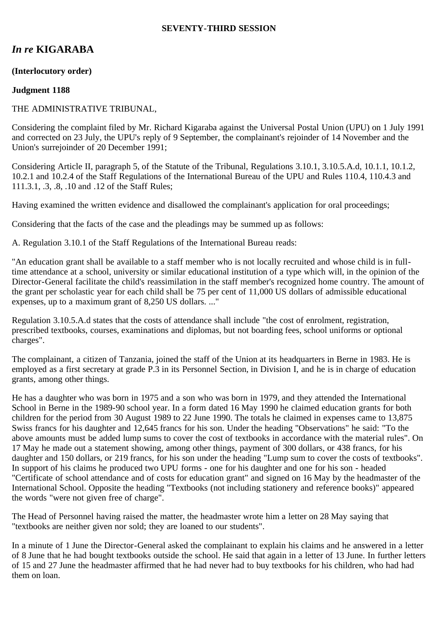#### **SEVENTY-THIRD SESSION**

# *In re* **KIGARABA**

## **(Interlocutory order)**

## **Judgment 1188**

## THE ADMINISTRATIVE TRIBUNAL,

Considering the complaint filed by Mr. Richard Kigaraba against the Universal Postal Union (UPU) on 1 July 1991 and corrected on 23 July, the UPU's reply of 9 September, the complainant's rejoinder of 14 November and the Union's surrejoinder of 20 December 1991;

Considering Article II, paragraph 5, of the Statute of the Tribunal, Regulations 3.10.1, 3.10.5.A.d, 10.1.1, 10.1.2, 10.2.1 and 10.2.4 of the Staff Regulations of the International Bureau of the UPU and Rules 110.4, 110.4.3 and 111.3.1, .3, .8, .10 and .12 of the Staff Rules;

Having examined the written evidence and disallowed the complainant's application for oral proceedings;

Considering that the facts of the case and the pleadings may be summed up as follows:

A. Regulation 3.10.1 of the Staff Regulations of the International Bureau reads:

"An education grant shall be available to a staff member who is not locally recruited and whose child is in fulltime attendance at a school, university or similar educational institution of a type which will, in the opinion of the Director-General facilitate the child's reassimilation in the staff member's recognized home country. The amount of the grant per scholastic year for each child shall be 75 per cent of 11,000 US dollars of admissible educational expenses, up to a maximum grant of 8,250 US dollars. ..."

Regulation 3.10.5.A.d states that the costs of attendance shall include "the cost of enrolment, registration, prescribed textbooks, courses, examinations and diplomas, but not boarding fees, school uniforms or optional charges".

The complainant, a citizen of Tanzania, joined the staff of the Union at its headquarters in Berne in 1983. He is employed as a first secretary at grade P.3 in its Personnel Section, in Division I, and he is in charge of education grants, among other things.

He has a daughter who was born in 1975 and a son who was born in 1979, and they attended the International School in Berne in the 1989-90 school year. In a form dated 16 May 1990 he claimed education grants for both children for the period from 30 August 1989 to 22 June 1990. The totals he claimed in expenses came to 13,875 Swiss francs for his daughter and 12,645 francs for his son. Under the heading "Observations" he said: "To the above amounts must be added lump sums to cover the cost of textbooks in accordance with the material rules". On 17 May he made out a statement showing, among other things, payment of 300 dollars, or 438 francs, for his daughter and 150 dollars, or 219 francs, for his son under the heading "Lump sum to cover the costs of textbooks". In support of his claims he produced two UPU forms - one for his daughter and one for his son - headed "Certificate of school attendance and of costs for education grant" and signed on 16 May by the headmaster of the International School. Opposite the heading "Textbooks (not including stationery and reference books)" appeared the words "were not given free of charge".

The Head of Personnel having raised the matter, the headmaster wrote him a letter on 28 May saying that "textbooks are neither given nor sold; they are loaned to our students".

In a minute of 1 June the Director-General asked the complainant to explain his claims and he answered in a letter of 8 June that he had bought textbooks outside the school. He said that again in a letter of 13 June. In further letters of 15 and 27 June the headmaster affirmed that he had never had to buy textbooks for his children, who had had them on loan.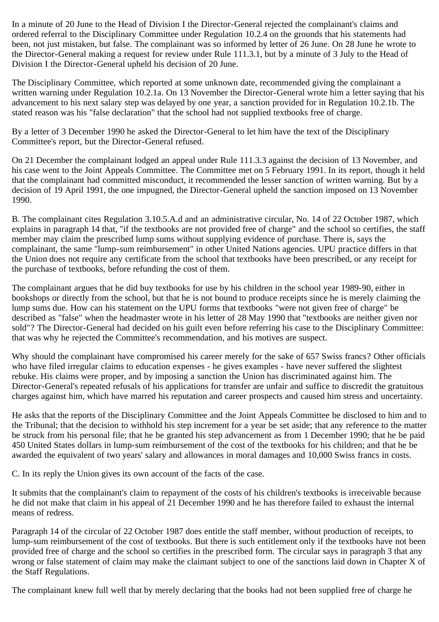In a minute of 20 June to the Head of Division I the Director-General rejected the complainant's claims and ordered referral to the Disciplinary Committee under Regulation 10.2.4 on the grounds that his statements had been, not just mistaken, but false. The complainant was so informed by letter of 26 June. On 28 June he wrote to the Director-General making a request for review under Rule 111.3.1, but by a minute of 3 July to the Head of Division I the Director-General upheld his decision of 20 June.

The Disciplinary Committee, which reported at some unknown date, recommended giving the complainant a written warning under Regulation 10.2.1a. On 13 November the Director-General wrote him a letter saying that his advancement to his next salary step was delayed by one year, a sanction provided for in Regulation 10.2.1b. The stated reason was his "false declaration" that the school had not supplied textbooks free of charge.

By a letter of 3 December 1990 he asked the Director-General to let him have the text of the Disciplinary Committee's report, but the Director-General refused.

On 21 December the complainant lodged an appeal under Rule 111.3.3 against the decision of 13 November, and his case went to the Joint Appeals Committee. The Committee met on 5 February 1991. In its report, though it held that the complainant had committed misconduct, it recommended the lesser sanction of written warning. But by a decision of 19 April 1991, the one impugned, the Director-General upheld the sanction imposed on 13 November 1990.

B. The complainant cites Regulation 3.10.5.A.d and an administrative circular, No. 14 of 22 October 1987, which explains in paragraph 14 that, "if the textbooks are not provided free of charge" and the school so certifies, the staff member may claim the prescribed lump sums without supplying evidence of purchase. There is, says the complainant, the same "lump-sum reimbursement" in other United Nations agencies. UPU practice differs in that the Union does not require any certificate from the school that textbooks have been prescribed, or any receipt for the purchase of textbooks, before refunding the cost of them.

The complainant argues that he did buy textbooks for use by his children in the school year 1989-90, either in bookshops or directly from the school, but that he is not bound to produce receipts since he is merely claiming the lump sums due. How can his statement on the UPU forms that textbooks "were not given free of charge" be described as "false" when the headmaster wrote in his letter of 28 May 1990 that "textbooks are neither given nor sold"? The Director-General had decided on his guilt even before referring his case to the Disciplinary Committee: that was why he rejected the Committee's recommendation, and his motives are suspect.

Why should the complainant have compromised his career merely for the sake of 657 Swiss francs? Other officials who have filed irregular claims to education expenses - he gives examples - have never suffered the slightest rebuke. His claims were proper, and by imposing a sanction the Union has discriminated against him. The Director-General's repeated refusals of his applications for transfer are unfair and suffice to discredit the gratuitous charges against him, which have marred his reputation and career prospects and caused him stress and uncertainty.

He asks that the reports of the Disciplinary Committee and the Joint Appeals Committee be disclosed to him and to the Tribunal; that the decision to withhold his step increment for a year be set aside; that any reference to the matter be struck from his personal file; that he be granted his step advancement as from 1 December 1990; that he be paid 450 United States dollars in lump-sum reimbursement of the cost of the textbooks for his children; and that he be awarded the equivalent of two years' salary and allowances in moral damages and 10,000 Swiss francs in costs.

C. In its reply the Union gives its own account of the facts of the case.

It submits that the complainant's claim to repayment of the costs of his children's textbooks is irreceivable because he did not make that claim in his appeal of 21 December 1990 and he has therefore failed to exhaust the internal means of redress.

Paragraph 14 of the circular of 22 October 1987 does entitle the staff member, without production of receipts, to lump-sum reimbursement of the cost of textbooks. But there is such entitlement only if the textbooks have not been provided free of charge and the school so certifies in the prescribed form. The circular says in paragraph 3 that any wrong or false statement of claim may make the claimant subject to one of the sanctions laid down in Chapter X of the Staff Regulations.

The complainant knew full well that by merely declaring that the books had not been supplied free of charge he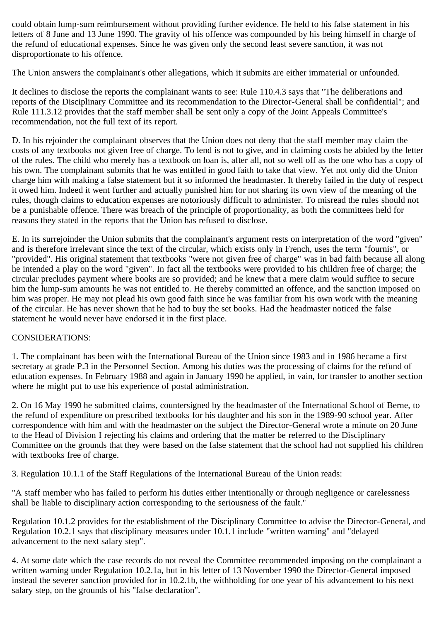could obtain lump-sum reimbursement without providing further evidence. He held to his false statement in his letters of 8 June and 13 June 1990. The gravity of his offence was compounded by his being himself in charge of the refund of educational expenses. Since he was given only the second least severe sanction, it was not disproportionate to his offence.

The Union answers the complainant's other allegations, which it submits are either immaterial or unfounded.

It declines to disclose the reports the complainant wants to see: Rule 110.4.3 says that "The deliberations and reports of the Disciplinary Committee and its recommendation to the Director-General shall be confidential"; and Rule 111.3.12 provides that the staff member shall be sent only a copy of the Joint Appeals Committee's recommendation, not the full text of its report.

D. In his rejoinder the complainant observes that the Union does not deny that the staff member may claim the costs of any textbooks not given free of charge. To lend is not to give, and in claiming costs he abided by the letter of the rules. The child who merely has a textbook on loan is, after all, not so well off as the one who has a copy of his own. The complainant submits that he was entitled in good faith to take that view. Yet not only did the Union charge him with making a false statement but it so informed the headmaster. It thereby failed in the duty of respect it owed him. Indeed it went further and actually punished him for not sharing its own view of the meaning of the rules, though claims to education expenses are notoriously difficult to administer. To misread the rules should not be a punishable offence. There was breach of the principle of proportionality, as both the committees held for reasons they stated in the reports that the Union has refused to disclose.

E. In its surrejoinder the Union submits that the complainant's argument rests on interpretation of the word "given" and is therefore irrelevant since the text of the circular, which exists only in French, uses the term "fournis", or "provided". His original statement that textbooks "were not given free of charge" was in bad faith because all along he intended a play on the word "given". In fact all the textbooks were provided to his children free of charge; the circular precludes payment where books are so provided; and he knew that a mere claim would suffice to secure him the lump-sum amounts he was not entitled to. He thereby committed an offence, and the sanction imposed on him was proper. He may not plead his own good faith since he was familiar from his own work with the meaning of the circular. He has never shown that he had to buy the set books. Had the headmaster noticed the false statement he would never have endorsed it in the first place.

## CONSIDERATIONS:

1. The complainant has been with the International Bureau of the Union since 1983 and in 1986 became a first secretary at grade P.3 in the Personnel Section. Among his duties was the processing of claims for the refund of education expenses. In February 1988 and again in January 1990 he applied, in vain, for transfer to another section where he might put to use his experience of postal administration.

2. On 16 May 1990 he submitted claims, countersigned by the headmaster of the International School of Berne, to the refund of expenditure on prescribed textbooks for his daughter and his son in the 1989-90 school year. After correspondence with him and with the headmaster on the subject the Director-General wrote a minute on 20 June to the Head of Division I rejecting his claims and ordering that the matter be referred to the Disciplinary Committee on the grounds that they were based on the false statement that the school had not supplied his children with textbooks free of charge.

3. Regulation 10.1.1 of the Staff Regulations of the International Bureau of the Union reads:

"A staff member who has failed to perform his duties either intentionally or through negligence or carelessness shall be liable to disciplinary action corresponding to the seriousness of the fault."

Regulation 10.1.2 provides for the establishment of the Disciplinary Committee to advise the Director-General, and Regulation 10.2.1 says that disciplinary measures under 10.1.1 include "written warning" and "delayed advancement to the next salary step".

4. At some date which the case records do not reveal the Committee recommended imposing on the complainant a written warning under Regulation 10.2.1a, but in his letter of 13 November 1990 the Director-General imposed instead the severer sanction provided for in 10.2.1b, the withholding for one year of his advancement to his next salary step, on the grounds of his "false declaration".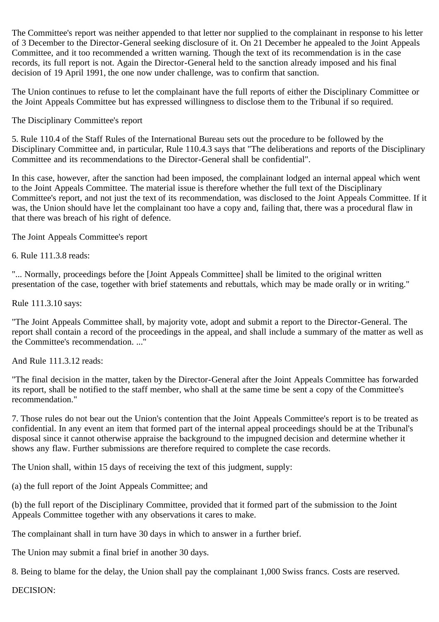The Committee's report was neither appended to that letter nor supplied to the complainant in response to his letter of 3 December to the Director-General seeking disclosure of it. On 21 December he appealed to the Joint Appeals Committee, and it too recommended a written warning. Though the text of its recommendation is in the case records, its full report is not. Again the Director-General held to the sanction already imposed and his final decision of 19 April 1991, the one now under challenge, was to confirm that sanction.

The Union continues to refuse to let the complainant have the full reports of either the Disciplinary Committee or the Joint Appeals Committee but has expressed willingness to disclose them to the Tribunal if so required.

The Disciplinary Committee's report

5. Rule 110.4 of the Staff Rules of the International Bureau sets out the procedure to be followed by the Disciplinary Committee and, in particular, Rule 110.4.3 says that "The deliberations and reports of the Disciplinary Committee and its recommendations to the Director-General shall be confidential".

In this case, however, after the sanction had been imposed, the complainant lodged an internal appeal which went to the Joint Appeals Committee. The material issue is therefore whether the full text of the Disciplinary Committee's report, and not just the text of its recommendation, was disclosed to the Joint Appeals Committee. If it was, the Union should have let the complainant too have a copy and, failing that, there was a procedural flaw in that there was breach of his right of defence.

The Joint Appeals Committee's report

6. Rule 111.3.8 reads:

"... Normally, proceedings before the [Joint Appeals Committee] shall be limited to the original written presentation of the case, together with brief statements and rebuttals, which may be made orally or in writing."

Rule 111.3.10 says:

"The Joint Appeals Committee shall, by majority vote, adopt and submit a report to the Director-General. The report shall contain a record of the proceedings in the appeal, and shall include a summary of the matter as well as the Committee's recommendation. ..."

And Rule 111.3.12 reads:

"The final decision in the matter, taken by the Director-General after the Joint Appeals Committee has forwarded its report, shall be notified to the staff member, who shall at the same time be sent a copy of the Committee's recommendation."

7. Those rules do not bear out the Union's contention that the Joint Appeals Committee's report is to be treated as confidential. In any event an item that formed part of the internal appeal proceedings should be at the Tribunal's disposal since it cannot otherwise appraise the background to the impugned decision and determine whether it shows any flaw. Further submissions are therefore required to complete the case records.

The Union shall, within 15 days of receiving the text of this judgment, supply:

(a) the full report of the Joint Appeals Committee; and

(b) the full report of the Disciplinary Committee, provided that it formed part of the submission to the Joint Appeals Committee together with any observations it cares to make.

The complainant shall in turn have 30 days in which to answer in a further brief.

The Union may submit a final brief in another 30 days.

8. Being to blame for the delay, the Union shall pay the complainant 1,000 Swiss francs. Costs are reserved.

DECISION: